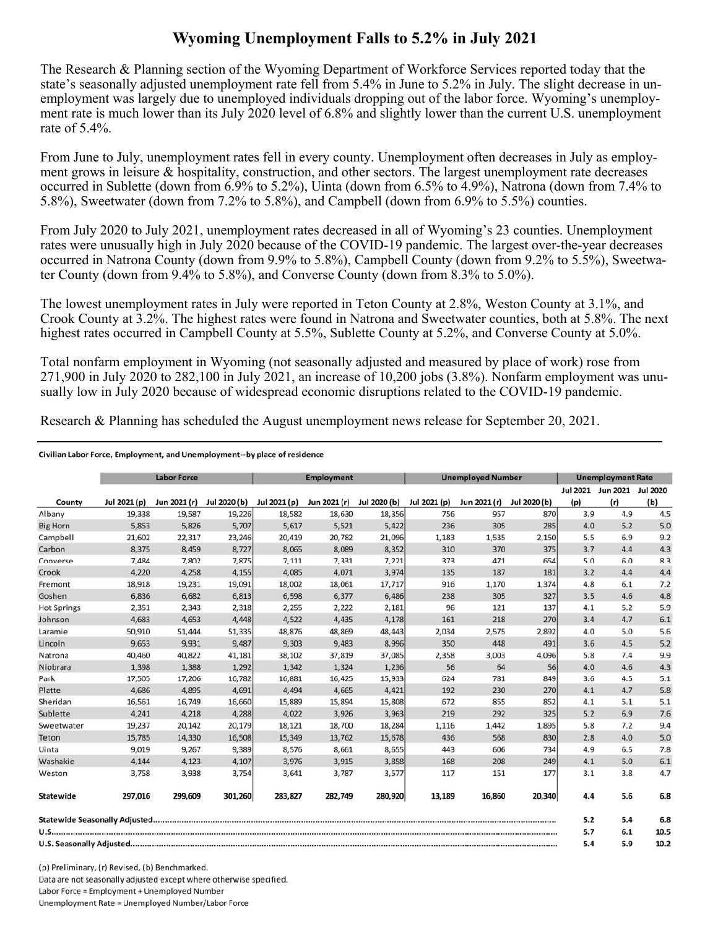## **Wyoming Unemployment Falls to 5.2% in July 2021**

The Research & Planning section of the Wyoming Department of Workforce Services reported today that the state's seasonally adjusted unemployment rate fell from 5.4% in June to 5.2% in July. The slight decrease in unemployment was largely due to unemployed individuals dropping out of the labor force. Wyoming's unemployment rate is much lower than its July 2020 level of 6.8% and slightly lower than the current U.S. unemployment rate of 5.4%.

From June to July, unemployment rates fell in every county. Unemployment often decreases in July as employment grows in leisure & hospitality, construction, and other sectors. The largest unemployment rate decreases occurred in Sublette (down from 6.9% to 5.2%), Uinta (down from 6.5% to 4.9%), Natrona (down from 7.4% to 5.8%), Sweetwater (down from 7.2% to 5.8%), and Campbell (down from 6.9% to 5.5%) counties.

From July 2020 to July 2021, unemployment rates decreased in all of Wyoming's 23 counties. Unemployment rates were unusually high in July 2020 because of the COVID-19 pandemic. The largest over-the-year decreases occurred in Natrona County (down from 9.9% to 5.8%), Campbell County (down from 9.2% to 5.5%), Sweetwater County (down from 9.4% to 5.8%), and Converse County (down from 8.3% to 5.0%).

The lowest unemployment rates in July were reported in Teton County at 2.8%, Weston County at 3.1%, and Crook County at 3.2%. The highest rates were found in Natrona and Sweetwater counties, both at 5.8%. The next highest rates occurred in Campbell County at 5.5%, Sublette County at 5.2%, and Converse County at 5.0%.

Total nonfarm employment in Wyoming (not seasonally adjusted and measured by place of work) rose from 271,900 in July 2020 to 282,100 in July 2021, an increase of 10,200 jobs (3.8%). Nonfarm employment was unusually low in July 2020 because of widespread economic disruptions related to the COVID-19 pandemic.

Research & Planning has scheduled the August unemployment news release for September 20, 2021.

## Civilian Labor Force, Employment, and Unemployment--by place of residence

|                    |              | <b>Labor Force</b> |              |              | <b>Employment</b> |              |              | <b>Unemployed Number</b> |              |          | <b>Unemployment Rate</b> |      |
|--------------------|--------------|--------------------|--------------|--------------|-------------------|--------------|--------------|--------------------------|--------------|----------|--------------------------|------|
|                    |              |                    |              |              |                   |              |              |                          |              | Jul 2021 | Jun 2021 Jul 2020        |      |
| County             | Jul 2021 (p) | Jun 2021 (r)       | Jul 2020 (b) | Jul 2021 (p) | Jun 2021 (r)      | Jul 2020 (b) | Jul 2021 (p) | Jun 2021 (r)             | Jul 2020 (b) | (p)      | (r)                      | (b)  |
| Albany             | 19,338       | 19,587             | 19,226       | 18,582       | 18,630            | 18,356       | 756          | 957                      | 870          | 3.9      | 4.9                      | 4.5  |
| <b>Big Horn</b>    | 5,853        | 5,826              | 5,707        | 5,617        | 5,521             | 5,422        | 236          | 305                      | 285          | 4.0      | 5.2                      | 5.0  |
| Campbell           | 21,602       | 22,317             | 23,246       | 20,419       | 20,782            | 21,096       | 1,183        | 1,535                    | 2,150        | 5.5      | 6.9                      | 9.2  |
| Carbon             | 8,375        | 8,459              | 8,727        | 8,065        | 8,089             | 8,352        | 310          | 370                      | 375          | 3.7      | 4.4                      | 4.3  |
| Converse           | 7,484        | 7,802              | 7,875        | 7,111        | 7,331             | 7,221        | 373          | 471                      | 654          | 5.0      | 6.0                      | 8.3  |
| Crook              | 4,220        | 4,258              | 4,155        | 4,085        | 4,071             | 3,974        | 135          | 187                      | 181          | 3.2      | 4.4                      | 4.4  |
| Fremont            | 18,918       | 19,231             | 19,091       | 18,002       | 18,061            | 17,717       | 916          | 1,170                    | 1,374        | 4.8      | 6.1                      | 7.2  |
| Goshen             | 6,836        | 6,682              | 6,813        | 6,598        | 6,377             | 6,486        | 238          | 305                      | 327          | 3.5      | 4.6                      | 4.8  |
| <b>Hot Springs</b> | 2,351        | 2,343              | 2,318        | 2,255        | 2,222             | 2,181        | 96           | 121                      | 137          | 4.1      | 5.2                      | 5.9  |
| Johnson            | 4,683        | 4,653              | 4,448        | 4,522        | 4,435             | 4,178        | 161          | 218                      | 270          | 3.4      | 4.7                      | 6.1  |
| Laramie            | 50,910       | 51,444             | 51,335       | 48,876       | 48,869            | 48,443       | 2,034        | 2,575                    | 2,892        | 4.0      | 5.0                      | 5.6  |
| Lincoln            | 9,653        | 9,931              | 9,487        | 9,303        | 9,483             | 8,996        | 350          | 448                      | 491          | 3.6      | 4.5                      | 5.2  |
| Natrona            | 40,460       | 40,822             | 41,181       | 38,102       | 37,819            | 37,085       | 2,358        | 3,003                    | 4,096        | 5.8      | 7.4                      | 9.9  |
| Niobrara           | 1,398        | 1,388              | 1,292        | 1,342        | 1,324             | 1,236        | 56           | 64                       | 56           | 4.0      | 4.6                      | 4.3  |
| Park               | 17,505       | 17,206             | 16,782       | 16,881       | 16,425            | 15,933       | 624          | 781                      | 849          | 3.6      | 4.5                      | 5.1  |
| Platte             | 4,686        | 4,895              | 4,691        | 4,494        | 4,665             | 4,421        | 192          | 230                      | 270          | 4.1      | 4.7                      | 5.8  |
| Sheridan           | 16,561       | 16,749             | 16,660       | 15,889       | 15,894            | 15,808       | 672          | 855                      | 852          | 4.1      | 5.1                      | 5.1  |
| Sublette           | 4,241        | 4,218              | 4,288        | 4,022        | 3,926             | 3,963        | 219          | 292                      | 325          | 5.2      | 6.9                      | 7.6  |
| Sweetwater         | 19,237       | 20,142             | 20,179       | 18,121       | 18,700            | 18,284       | 1,116        | 1,442                    | 1,895        | 5.8      | 7.2                      | 9.4  |
| Teton              | 15,785       | 14,330             | 16,508       | 15,349       | 13,762            | 15,678       | 436          | 568                      | 830          | 2.8      | 4.0                      | 5.0  |
| Uinta              | 9,019        | 9,267              | 9,389        | 8,576        | 8,661             | 8,655        | 443          | 606                      | 734          | 4.9      | 6.5                      | 7.8  |
| Washakie           | 4,144        | 4,123              | 4,107        | 3,976        | 3,915             | 3,858        | 168          | 208                      | 249          | 4.1      | 5.0                      | 6.1  |
| Weston             | 3,758        | 3,938              | 3,754        | 3,641        | 3,787             | 3,577        | 117          | 151                      | 177          | 3.1      | 3.8                      | 4.7  |
| Statewide          | 297,016      | 299,609            | 301,260      | 283,827      | 282,749           | 280,920      | 13,189       | 16,860                   | 20,340       | 4.4      | 5.6                      | 6.8  |
|                    |              |                    |              |              |                   |              |              |                          |              | 5.2      | 5.4                      | 6.8  |
|                    |              |                    |              |              |                   |              |              |                          |              | 5.7      | 6.1                      | 10.5 |
|                    |              |                    |              |              |                   | 5.4          | 5.9          | 10.2                     |              |          |                          |      |

(p) Preliminary, (r) Revised, (b) Benchmarked, Data are not seasonally adjusted except where otherwise specified. Labor Force = Employment + Unemployed Number Unemployment Rate = Unemployed Number/Labor Force